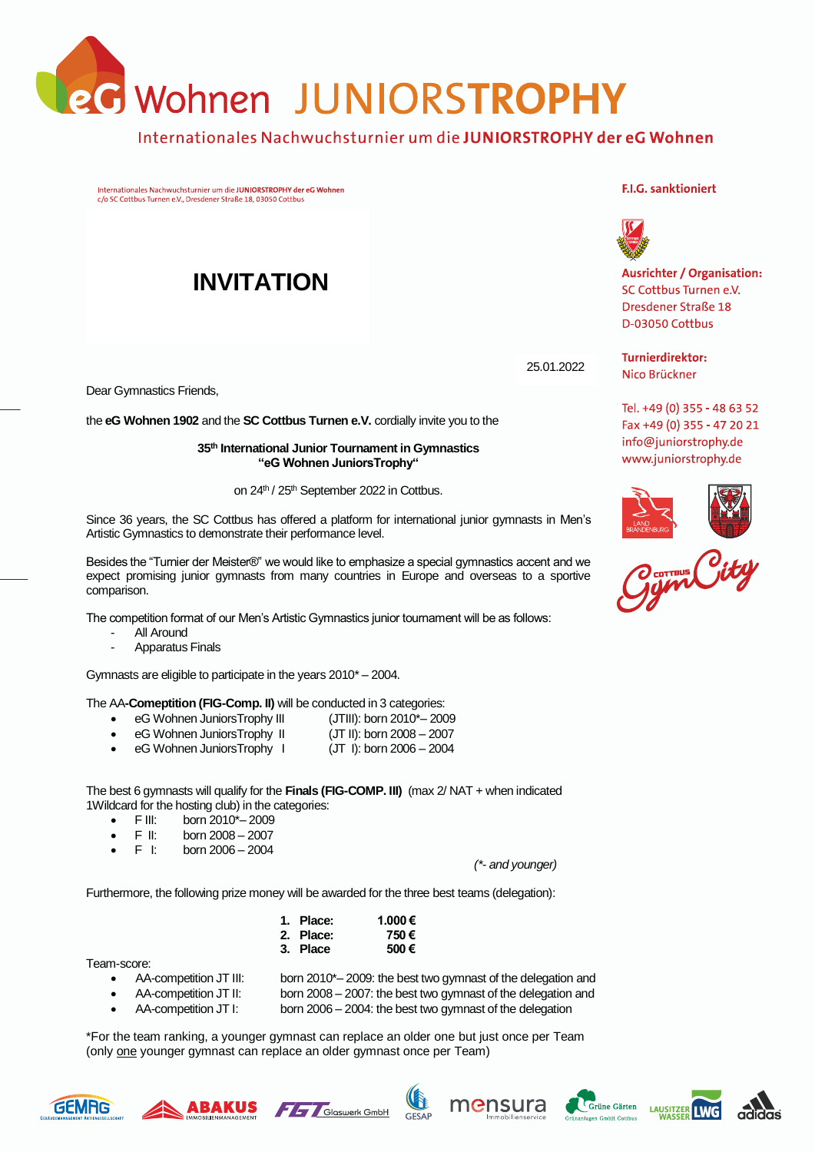**B** Wohnen JUNIORSTROPHY

### Internationales Nachwuchsturnier um die JUNIORSTROPHY der eG Wohnen

Internationales Nachwuchsturnier um die JUNIORSTROPHY der eG Wohnen c/o SC Cottbus Turnen e.V., Dresdener Straße 18, 03050 Cottbus

# **INVITATION**

Dear Gymnastics Friends,

the **eG Wohnen 1902** and the **SC Cottbus Turnen e.V.** cordially invite you to the

**35th International Junior Tournament in Gymnastics "eG Wohnen JuniorsTrophy"**

on 24<sup>th</sup> / 25<sup>th</sup> September 2022 in Cottbus.

Since 36 years, the SC Cottbus has offered a platform for international junior gymnasts in Men's Artistic Gymnastics to demonstrate their performance level.

Besides the "Turnier der Meister®" we would like to emphasize a special gymnastics accent and we expect promising junior gymnasts from many countries in Europe and overseas to a sportive comparison.

The competition format of our Men's Artistic Gymnastics junior tournament will be as follows:

- All Around
- Apparatus Finals

Gymnasts are eligible to participate in the years 2010\* – 2004.

#### The AA**-Comeptition (FIG-Comp. II)** will be conducted in 3 categories:

- eG Wohnen JuniorsTrophy III (JTIII): born 2010\*-2009
- eG Wohnen JuniorsTrophy II (JT II): born 2008 2007
- eG Wohnen JuniorsTrophy I (JT I): born 2006 2004

The best 6 gymnasts will qualify for the **Finals (FIG-COMP. III)** (max 2/ NAT + when indicated 1Wildcard for the hosting club) in the categories:

- F III: born  $2010^{\circ} 2009$ <br>• F II: born 2008 2007
- born 2008 2007
- $F \t{h}$  born 2006 2004

*(\*- and younger)*

Furthermore, the following prize money will be awarded for the three best teams (delegation):

| 1. Place: | 1.000€ |
|-----------|--------|
| 2. Place: | 750€   |
| 3. Place  | 500€   |

Team-score:

- AA-competition JT III: born 2010\*– 2009: the best two gymnast of the delegation and
- - AA-competition JT II: born 2008 2007: the best two gymnast of the delegation and • AA-competition JT I: born 2006 – 2004: the best two gymnast of the delegation

\*For the team ranking, a younger gymnast can replace an older one but just once per Team (only one younger gymnast can replace an older gymnast once per Team)

## GEMRG













#### **F.I.G. sanktioniert**



**Ausrichter / Organisation:** SC Cottbus Turnen e.V. Dresdener Straße 18 D-03050 Cottbus

**Turnierdirektor:** 25.01.2022Nico Brückner

> Tel. +49 (0) 355 - 48 63 52 Fax +49 (0) 355 - 47 20 21 info@juniorstrophy.de www.juniorstrophy.de



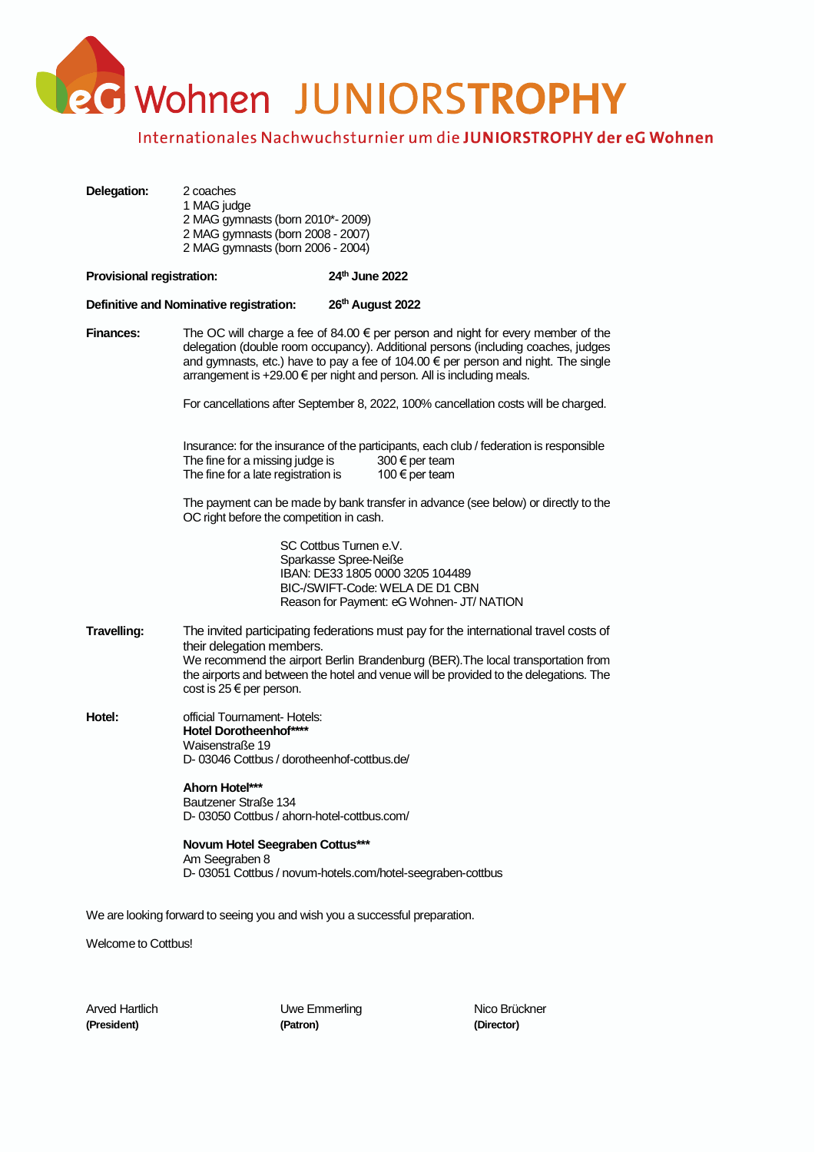eG Wohnen JUNIORSTROPHY

### Internationales Nachwuchsturnier um die JUNIORSTROPHY der eG Wohnen

| Delegation:                      | 2 coaches<br>1 MAG judge<br>2 MAG gymnasts (born 2010*-2009)<br>2 MAG gymnasts (born 2008 - 2007)<br>2 MAG gymnasts (born 2006 - 2004)                                                                                                                                                                                                        |                                                                                                                                                                                                                                                                   |  |  |  |
|----------------------------------|-----------------------------------------------------------------------------------------------------------------------------------------------------------------------------------------------------------------------------------------------------------------------------------------------------------------------------------------------|-------------------------------------------------------------------------------------------------------------------------------------------------------------------------------------------------------------------------------------------------------------------|--|--|--|
| <b>Provisional registration:</b> |                                                                                                                                                                                                                                                                                                                                               | 24th June 2022                                                                                                                                                                                                                                                    |  |  |  |
|                                  | Definitive and Nominative registration:                                                                                                                                                                                                                                                                                                       | 26th August 2022                                                                                                                                                                                                                                                  |  |  |  |
| <b>Finances:</b>                 | The OC will charge a fee of 84.00 $\epsilon$ per person and night for every member of the<br>delegation (double room occupancy). Additional persons (including coaches, judges<br>and gymnasts, etc.) have to pay a fee of 104.00 € per person and night. The single<br>arrangement is +29.00 € per night and person. All is including meals. |                                                                                                                                                                                                                                                                   |  |  |  |
|                                  |                                                                                                                                                                                                                                                                                                                                               | For cancellations after September 8, 2022, 100% cancellation costs will be charged.                                                                                                                                                                               |  |  |  |
|                                  | The fine for a missing judge is<br>The fine for a late registration is                                                                                                                                                                                                                                                                        | Insurance: for the insurance of the participants, each club / federation is responsible<br>300 € per team<br>100 € per team                                                                                                                                       |  |  |  |
|                                  | OC right before the competition in cash.                                                                                                                                                                                                                                                                                                      | The payment can be made by bank transfer in advance (see below) or directly to the                                                                                                                                                                                |  |  |  |
|                                  |                                                                                                                                                                                                                                                                                                                                               | SC Cottbus Turnen e.V.<br>Sparkasse Spree-Neiße<br>IBAN: DE33 1805 0000 3205 104489<br>BIC-/SWIFT-Code: WELA DE D1 CBN<br>Reason for Payment: eG Wohnen- JT/ NATION                                                                                               |  |  |  |
| Travelling:                      | their delegation members.<br>cost is 25 € per person.                                                                                                                                                                                                                                                                                         | The invited participating federations must pay for the international travel costs of<br>We recommend the airport Berlin Brandenburg (BER). The local transportation from<br>the airports and between the hotel and venue will be provided to the delegations. The |  |  |  |
| Hotel:                           | official Tournament- Hotels:<br><b>Hotel Dorotheenhof****</b><br>Waisenstraße 19<br>D-03046 Cottbus / dorotheenhof-cottbus.de/                                                                                                                                                                                                                |                                                                                                                                                                                                                                                                   |  |  |  |
|                                  | Ahorn Hotel***<br>Bautzener Straße 134<br>D-03050 Cottbus / ahorn-hotel-cottbus.com/                                                                                                                                                                                                                                                          |                                                                                                                                                                                                                                                                   |  |  |  |
|                                  | Novum Hotel Seegraben Cottus***<br>Am Seegraben 8                                                                                                                                                                                                                                                                                             | D-03051 Cottbus / novum-hotels.com/hotel-seegraben-cottbus                                                                                                                                                                                                        |  |  |  |
|                                  | We are looking forward to seeing you and wish you a successful preparation.                                                                                                                                                                                                                                                                   |                                                                                                                                                                                                                                                                   |  |  |  |

Welcome to Cottbus!

Arved Hartlich **Nico Brückner** Uwe Emmerling Nico Brückner **(President) (Patron) (Director)**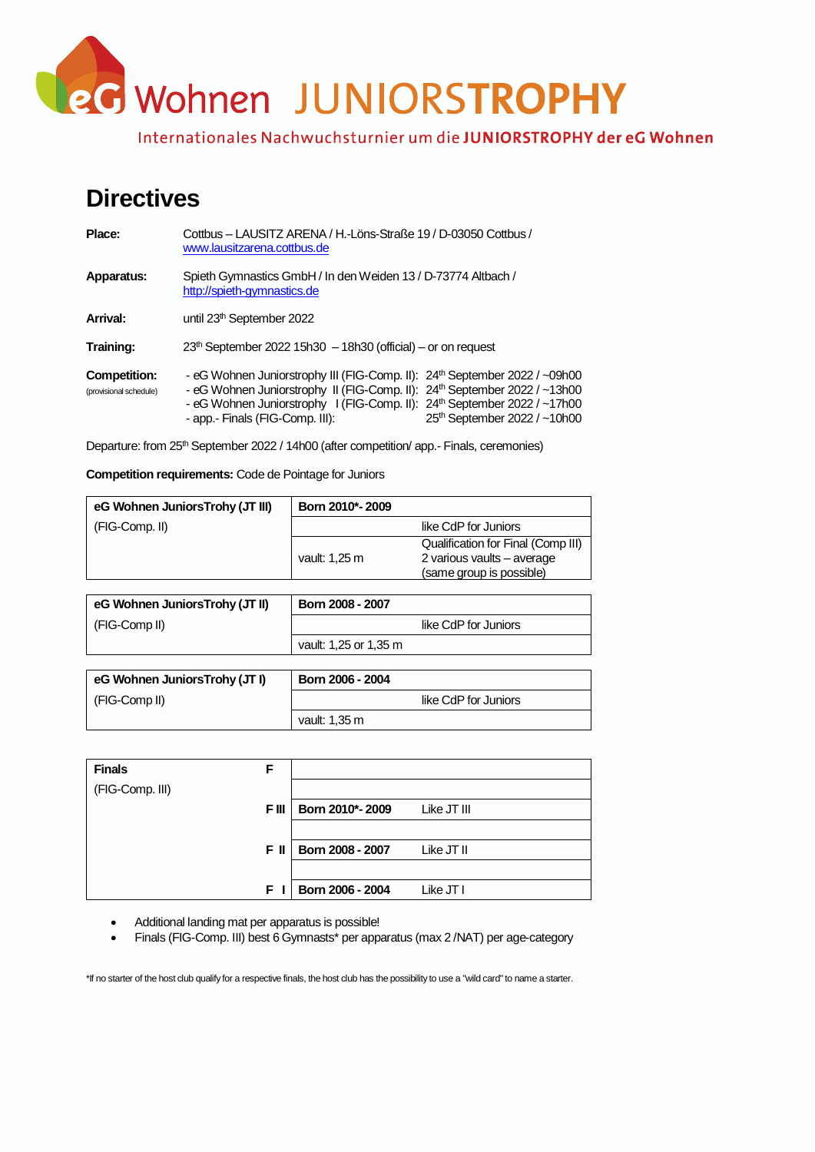eG Wohnen JUNIORSTROPHY

Internationales Nachwuchsturnier um die JUNIORSTROPHY der eG Wohnen

# **Directives**

| Place:                                 | Cottbus - LAUSITZ ARENA / H.-Löns-Straße 19 / D-03050 Cottbus /<br>www.lausitzarena.cottbus.de                                                                                                                                                                                                 |                              |  |  |  |  |
|----------------------------------------|------------------------------------------------------------------------------------------------------------------------------------------------------------------------------------------------------------------------------------------------------------------------------------------------|------------------------------|--|--|--|--|
| Apparatus:                             | Spieth Gymnastics GmbH / In den Weiden 13 / D-73774 Altbach /<br>http://spieth-gymnastics.de                                                                                                                                                                                                   |                              |  |  |  |  |
| Arrival:                               | until 23 <sup>th</sup> September 2022                                                                                                                                                                                                                                                          |                              |  |  |  |  |
| Training:                              | $23th$ September 2022 15h30 $-$ 18h30 (official) – or on request                                                                                                                                                                                                                               |                              |  |  |  |  |
| Competition:<br>(provisional schedule) | - eG Wohnen Juniorstrophy III (FIG-Comp. II): 24th September 2022 / ~09h00<br>- eG Wohnen Juniorstrophy II (FIG-Comp. II): 24 <sup>th</sup> September 2022 / ~13h00<br>- eG Wohnen Juniorstrophy I (FIG-Comp. II): 24 <sup>th</sup> September 2022 / ~17h00<br>- app.- Finals (FIG-Comp. III): | 25th September 2022 / ~10h00 |  |  |  |  |

Departure: from 25<sup>th</sup> September 2022 / 14h00 (after competition/ app.- Finals, ceremonies)

**Competition requirements:** Code de Pointage for Juniors

| eG Wohnen JuniorsTrohy (JT III) | Born 2010*-2009 |                                                                                              |
|---------------------------------|-----------------|----------------------------------------------------------------------------------------------|
| (FIG-Comp. II)                  |                 | like CdP for Juniors                                                                         |
|                                 | vault: 1,25 m   | Qualification for Final (Comp III)<br>2 various vaults - average<br>(same group is possible) |

| eG Wohnen JuniorsTrohy (JT II) | Born 2008 - 2007      |  |
|--------------------------------|-----------------------|--|
| (FIG-Comp II)                  | like CdP for Juniors  |  |
|                                | vault: 1,25 or 1,35 m |  |

| eG Wohnen JuniorsTrohy (JT I) | Born 2006 - 2004     |
|-------------------------------|----------------------|
| (FIG-Comp II)                 | like CdP for Juniors |
|                               | vault: 1,35 m        |

| <b>Finals</b>   | F     |                  |             |
|-----------------|-------|------------------|-------------|
| (FIG-Comp. III) |       |                  |             |
|                 | F III | Born 2010*-2009  | Like JT III |
|                 |       |                  |             |
|                 | F II  | Born 2008 - 2007 | Like JT II  |
|                 |       |                  |             |
|                 | F I   | Born 2006 - 2004 | Like JT I   |

• Additional landing mat per apparatus is possible!

• Finals (FIG-Comp. III) best 6 Gymnasts\* per apparatus (max 2 /NAT) per age-category

\*If no starter of the host club qualify for a respective finals, the host club has the possibility to use a "wild card" to name a starter.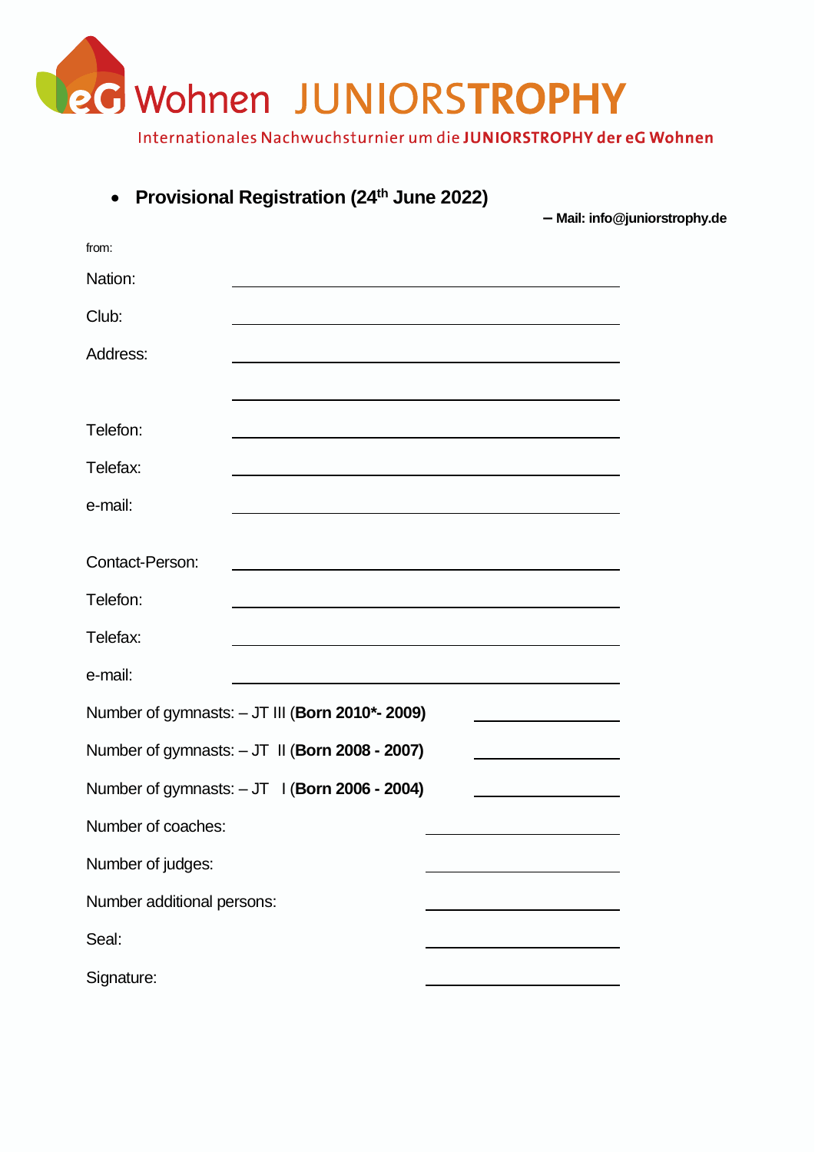

| $\bullet$                  | Provisional Registration (24th June 2022)                                                                             |                                                                                                                      | - Mail: info@juniorstrophy.de |
|----------------------------|-----------------------------------------------------------------------------------------------------------------------|----------------------------------------------------------------------------------------------------------------------|-------------------------------|
| from:                      |                                                                                                                       |                                                                                                                      |                               |
| Nation:                    |                                                                                                                       | <u> 1989 - Johann Barbara, martxa alemaniar argumento de la contrada de la contrada de la contrada de la contrad</u> |                               |
| Club:                      |                                                                                                                       |                                                                                                                      |                               |
| Address:                   |                                                                                                                       |                                                                                                                      |                               |
|                            |                                                                                                                       |                                                                                                                      |                               |
| Telefon:                   |                                                                                                                       |                                                                                                                      |                               |
| Telefax:                   |                                                                                                                       |                                                                                                                      |                               |
| e-mail:                    | <u> 1989 - Andrea Barbara, amerikana amerikana amerikana amerikana amerikana amerikana amerikana amerikana amerik</u> |                                                                                                                      |                               |
| Contact-Person:            |                                                                                                                       |                                                                                                                      |                               |
| Telefon:                   |                                                                                                                       |                                                                                                                      |                               |
| Telefax:                   |                                                                                                                       |                                                                                                                      |                               |
| e-mail:                    | <u> 1980 - Johann Barn, amerikan besteman besteman besteman besteman besteman besteman besteman besteman bestema</u>  |                                                                                                                      |                               |
|                            | Number of gymnasts: - JT III (Born 2010*- 2009)                                                                       |                                                                                                                      |                               |
|                            | Number of gymnasts: - JT II (Born 2008 - 2007)                                                                        |                                                                                                                      |                               |
|                            | Number of gymnasts: - JT   (Born 2006 - 2004)                                                                         |                                                                                                                      |                               |
| Number of coaches:         |                                                                                                                       |                                                                                                                      |                               |
| Number of judges:          |                                                                                                                       |                                                                                                                      |                               |
| Number additional persons: |                                                                                                                       |                                                                                                                      |                               |
| Seal:                      |                                                                                                                       |                                                                                                                      |                               |
| Signature:                 |                                                                                                                       |                                                                                                                      |                               |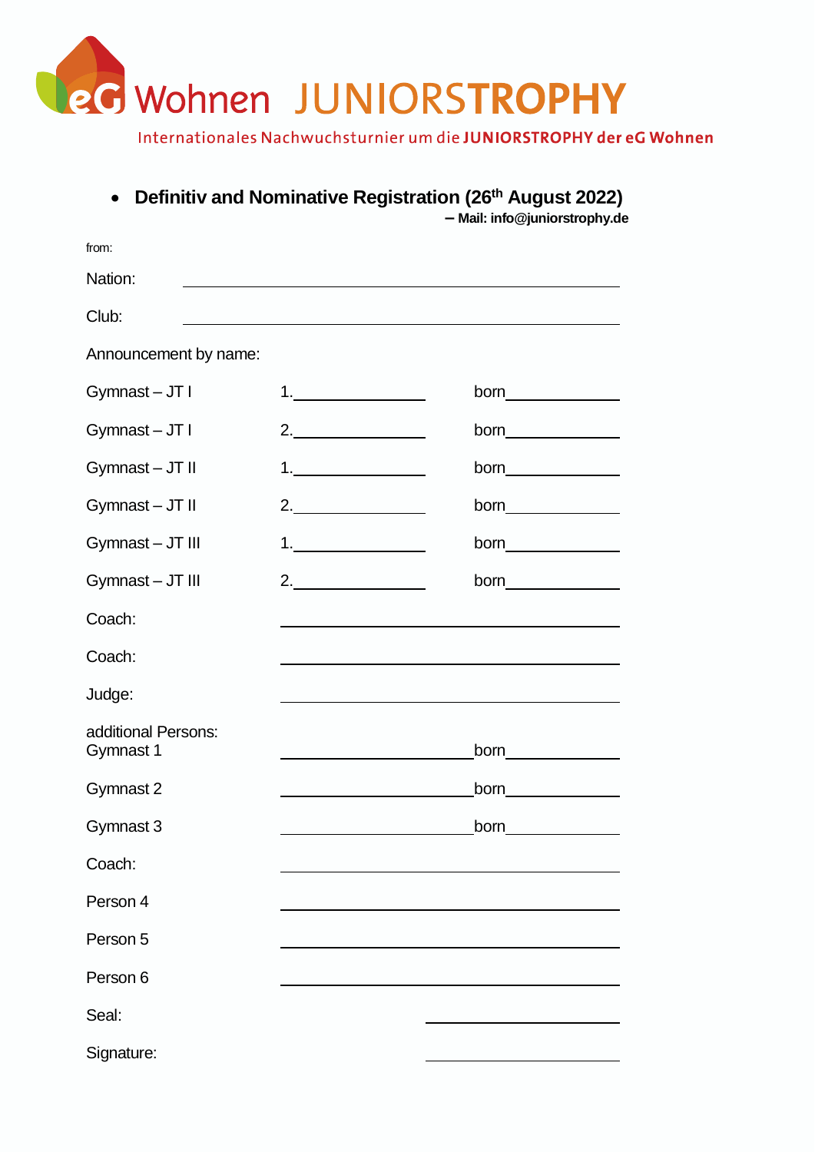

### • **Definitiv and Nominative Registration (26th August 2022)**

 $f(x)$ 

**– Mail: info@juniorstrophy.de**

| IFOLIT.                          |                                                                                                                      |                                                                                                                                                                                                                                      |  |  |  |
|----------------------------------|----------------------------------------------------------------------------------------------------------------------|--------------------------------------------------------------------------------------------------------------------------------------------------------------------------------------------------------------------------------------|--|--|--|
| Nation:                          |                                                                                                                      |                                                                                                                                                                                                                                      |  |  |  |
| Club:                            |                                                                                                                      |                                                                                                                                                                                                                                      |  |  |  |
| Announcement by name:            |                                                                                                                      |                                                                                                                                                                                                                                      |  |  |  |
| Gymnast-JT I                     | 1.                                                                                                                   |                                                                                                                                                                                                                                      |  |  |  |
| Gymnast-JTI                      | 2.                                                                                                                   | born <u>such and the set of the set of the set of the set of the set of the set of the set of the set of the set of the set of the set of the set of the set of the set of the set of the set of the set of the set of the set o</u> |  |  |  |
| Gymnast-JT II                    | $\begin{array}{c} \n 1. & \quad \text{if } \\ \nend{array}$                                                          |                                                                                                                                                                                                                                      |  |  |  |
| Gymnast-JT II                    | 2.                                                                                                                   | born <u>example</u>                                                                                                                                                                                                                  |  |  |  |
| Gymnast - JT III                 | 1.                                                                                                                   | born <b>contract of the set of the set of the set of the set of the set of the set of the set of the set of the set of the set of the set of the set of the set of the set of the set of the set of the set of the set of the se</b> |  |  |  |
| Gymnast-JT III                   | 2.                                                                                                                   |                                                                                                                                                                                                                                      |  |  |  |
| Coach:                           |                                                                                                                      |                                                                                                                                                                                                                                      |  |  |  |
| Coach:                           |                                                                                                                      |                                                                                                                                                                                                                                      |  |  |  |
| Judge:                           | <u> 1989 - Johann Barbara, marka a shekara tsa 1989 - An tsa 1989 - An tsa 1989 - An tsa 1989 - An tsa 1989 - An</u> |                                                                                                                                                                                                                                      |  |  |  |
| additional Persons:<br>Gymnast 1 |                                                                                                                      | born________________                                                                                                                                                                                                                 |  |  |  |
| Gymnast 2                        |                                                                                                                      | born <b>born</b>                                                                                                                                                                                                                     |  |  |  |
| Gymnast 3                        |                                                                                                                      | <b>born born</b>                                                                                                                                                                                                                     |  |  |  |
| Coach:                           |                                                                                                                      |                                                                                                                                                                                                                                      |  |  |  |
| Person 4                         |                                                                                                                      |                                                                                                                                                                                                                                      |  |  |  |
| Person 5                         |                                                                                                                      |                                                                                                                                                                                                                                      |  |  |  |
| Person 6                         |                                                                                                                      |                                                                                                                                                                                                                                      |  |  |  |
| Seal:                            |                                                                                                                      |                                                                                                                                                                                                                                      |  |  |  |
| Signature:                       |                                                                                                                      |                                                                                                                                                                                                                                      |  |  |  |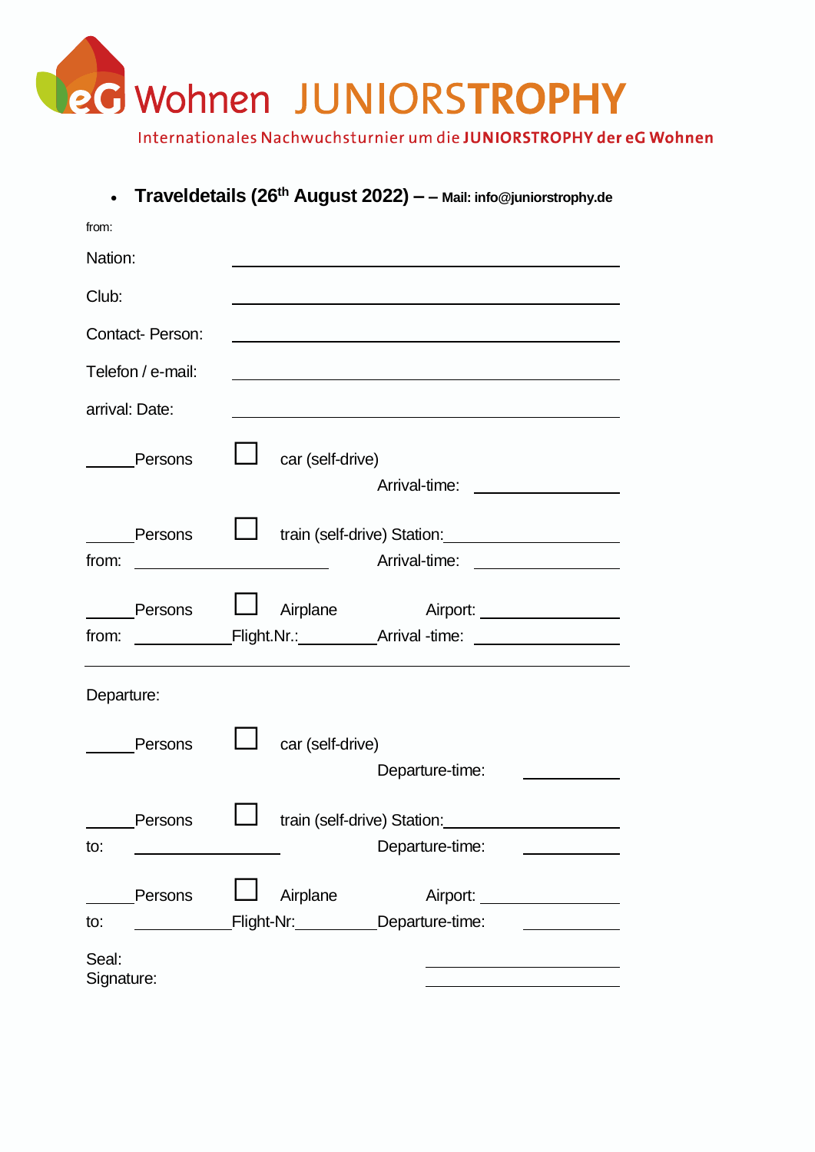

|                     |                  | Traveldetails (26 <sup>th</sup> August 2022) - - Mail: info@juniorstrophy.de                                                                                                                                                  |                               |
|---------------------|------------------|-------------------------------------------------------------------------------------------------------------------------------------------------------------------------------------------------------------------------------|-------------------------------|
| from:               |                  |                                                                                                                                                                                                                               |                               |
| Nation:             |                  |                                                                                                                                                                                                                               |                               |
| Club:               |                  |                                                                                                                                                                                                                               |                               |
| Contact- Person:    |                  |                                                                                                                                                                                                                               |                               |
| Telefon / e-mail:   |                  |                                                                                                                                                                                                                               |                               |
| arrival: Date:      |                  | the control of the control of the control of the control of the control of the control of the control of the control of the control of the control of the control of the control of the control of the control of the control |                               |
| Persons             | car (self-drive) |                                                                                                                                                                                                                               |                               |
| Persons<br>from:    |                  | train (self-drive) Station: Marian Marian Marian Marian Marian Marian Marian Marian Marian Marian Marian Maria<br>Arrival-time: __________________                                                                            |                               |
| Persons<br>from:    | Airplane         |                                                                                                                                                                                                                               | Airport: ____________________ |
| Departure:          |                  |                                                                                                                                                                                                                               |                               |
| Persons             | car (self-drive) | Departure-time:                                                                                                                                                                                                               |                               |
| Persons<br>to:      |                  | train (self-drive) Station:<br>Departure-time:                                                                                                                                                                                |                               |
| Persons<br>to:      | Airplane         | Flight-Nr: __________Departure-time:                                                                                                                                                                                          | Airport:                      |
| Seal:<br>Signature: |                  |                                                                                                                                                                                                                               |                               |